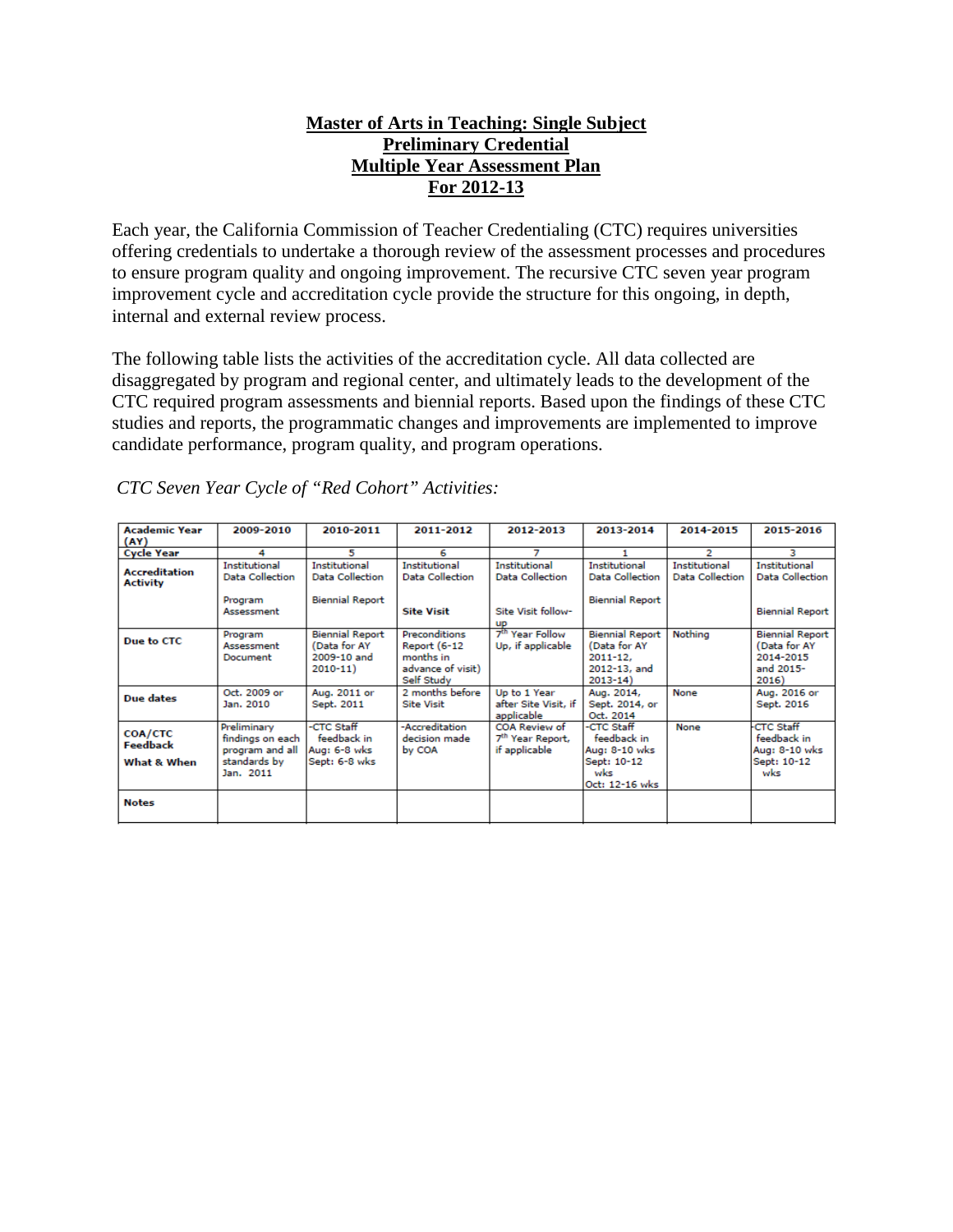### **Master of Arts in Teaching: Single Subject Preliminary Credential Multiple Year Assessment Plan For 2012-13**

Each year, the California Commission of Teacher Credentialing (CTC) requires universities offering credentials to undertake a thorough review of the assessment processes and procedures to ensure program quality and ongoing improvement. The recursive CTC seven year program improvement cycle and accreditation cycle provide the structure for this ongoing, in depth, internal and external review process.

The following table lists the activities of the accreditation cycle. All data collected are disaggregated by program and regional center, and ultimately leads to the development of the CTC required program assessments and biennial reports. Based upon the findings of these CTC studies and reports, the programmatic changes and improvements are implemented to improve candidate performance, program quality, and program operations.

| <b>Academic Year</b>                    | 2009-2010                                                                       | 2010-2011                                                            | 2011-2012                                                                            | 2012-2013                                                      | 2013-2014                                                                             | 2014-2015                                      | 2015-2016                                                                 |
|-----------------------------------------|---------------------------------------------------------------------------------|----------------------------------------------------------------------|--------------------------------------------------------------------------------------|----------------------------------------------------------------|---------------------------------------------------------------------------------------|------------------------------------------------|---------------------------------------------------------------------------|
| (AY)                                    |                                                                                 |                                                                      |                                                                                      |                                                                |                                                                                       |                                                |                                                                           |
| <b>Cycle Year</b>                       | 4                                                                               | 5                                                                    | 6                                                                                    | 7                                                              |                                                                                       | 2                                              | з                                                                         |
| <b>Accreditation</b><br><b>Activity</b> | Institutional<br>Data Collection                                                | <b>Institutional</b><br>Data Collection                              | <b>Institutional</b><br>Data Collection                                              | Institutional<br><b>Data Collection</b>                        | Institutional<br>Data Collection                                                      | <b>Institutional</b><br><b>Data Collection</b> | Institutional<br>Data Collection                                          |
|                                         | Program<br>Assessment                                                           | <b>Biennial Report</b>                                               | <b>Site Visit</b>                                                                    | Site Visit follow-<br><b>UP</b>                                | <b>Biennial Report</b>                                                                |                                                | <b>Biennial Report</b>                                                    |
| Due to CTC                              | Program<br>Assessment<br>Document                                               | <b>Biennial Report</b><br>(Data for AY<br>2009-10 and<br>$2010 - 11$ | Preconditions<br><b>Report (6-12</b><br>months in<br>advance of visit)<br>Self Study | 7 <sup>th</sup> Year Follow<br>Up, if applicable               | <b>Biennial Report</b><br>(Data for AY<br>$2011 - 12.$<br>2012-13, and<br>$2013 - 14$ | Nothing                                        | <b>Biennial Report</b><br>(Data for AY<br>2014-2015<br>and 2015-<br>2016) |
| Due dates                               | Oct. 2009 or<br>Jan. 2010                                                       | Aug. 2011 or<br>Sept. 2011                                           | 2 months before<br><b>Site Visit</b>                                                 | Up to 1 Year<br>after Site Visit, if<br>applicable             | Aug. 2014,<br>Sept. 2014, or<br>Oct. 2014                                             | None                                           | Aug. 2016 or<br>Sept. 2016                                                |
| COA/CTC<br>Feedback<br>What & When      | Preliminary<br>findings on each<br>program and all<br>standards by<br>Jan. 2011 | -CTC Staff<br>feedback in<br>Aug: 6-8 wks<br>Sept: 6-8 wks           | -Accreditation<br>decision made<br>by COA                                            | COA Review of<br>7 <sup>th</sup> Year Report,<br>if applicable | -CTC Staff<br>feedback in<br>Aug: 8-10 wks<br>Sept: 10-12<br>wks<br>Oct: 12-16 wks    | None                                           | <b>CTC Staff</b><br>feedback in<br>Aug: 8-10 wks<br>Sept: 10-12<br>wks    |
| <b>Notes</b>                            |                                                                                 |                                                                      |                                                                                      |                                                                |                                                                                       |                                                |                                                                           |

*CTC Seven Year Cycle of "Red Cohort" Activities:*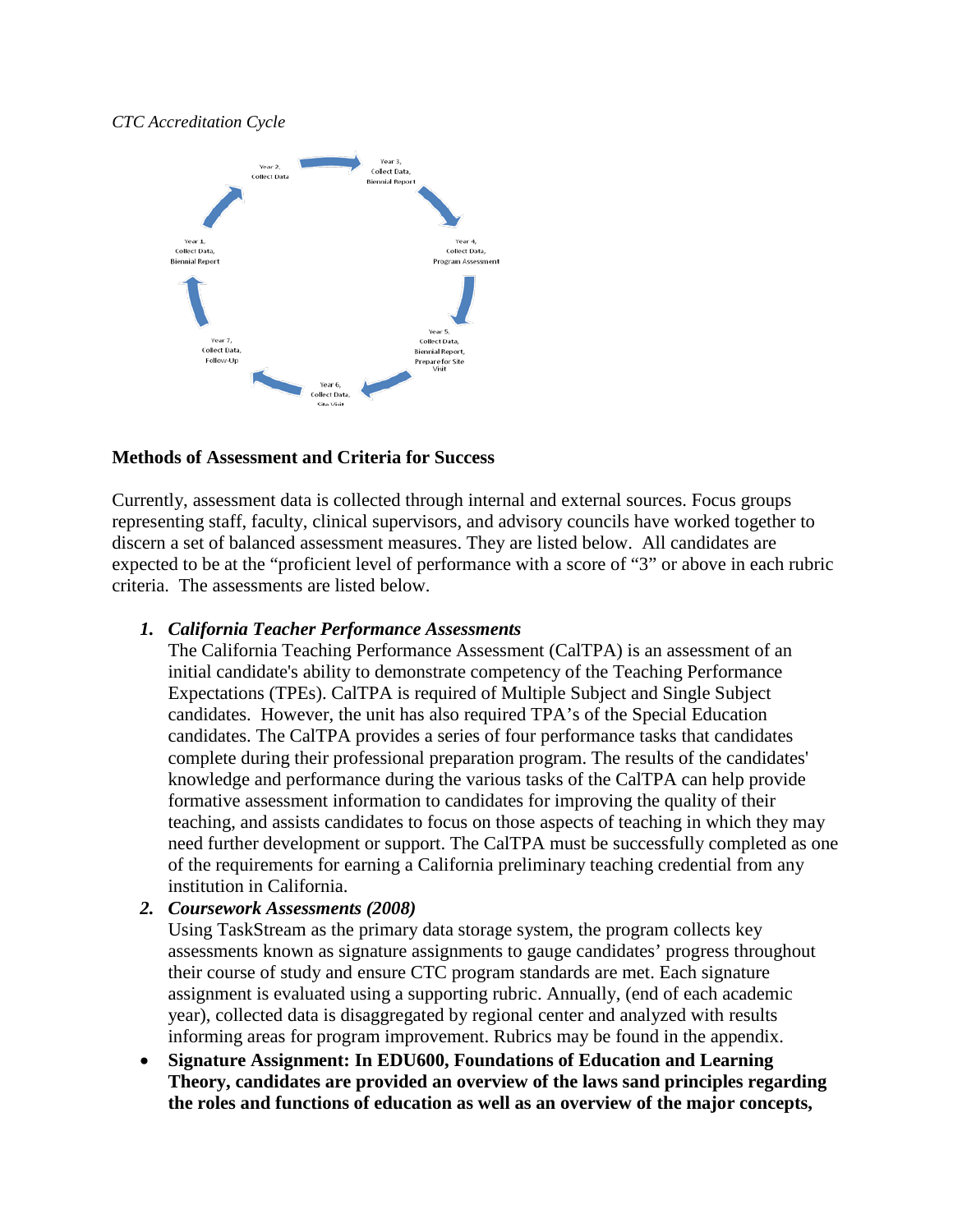#### *CTC Accreditation Cycle*



#### **Methods of Assessment and Criteria for Success**

Currently, assessment data is collected through internal and external sources. Focus groups representing staff, faculty, clinical supervisors, and advisory councils have worked together to discern a set of balanced assessment measures. They are listed below. All candidates are expected to be at the "proficient level of performance with a score of "3" or above in each rubric criteria. The assessments are listed below.

#### *1. California Teacher Performance Assessments*

The [California Teaching Performance Assessment \(CalTPA\)](https://portal.pointloma.edu/web/education/home/-/wiki/Main/Glossary) is an [assessment](https://portal.pointloma.edu/web/education/home/-/wiki/Main/Glossary) of an initial candidate's ability to demonstrate competency of the [Teaching Performance](https://portal.pointloma.edu/web/education/home/-/wiki/Main/TPES)  [Expectations \(TPEs\).](https://portal.pointloma.edu/web/education/home/-/wiki/Main/TPES) CalTPA is required of Multiple Subject and Single Subject candidates. However, the unit has also required TPA's of the Special Education candidates. The CalTPA provides a series of four performance tasks that candidates complete during their professional preparation program. The results of the candidates' knowledge and performance during the various tasks of the CalTPA can help provide formative assessment information to candidates for improving the quality of their teaching, and assists candidates to focus on those aspects of teaching in which they may need further development or support. The CalTPA must be successfully completed as one of the requirements for earning a California preliminary teaching credential from any institution in California.

## *2. Coursework Assessments (2008)*

Using TaskStream as the primary data storage system, the program collects key assessments known as signature assignments to gauge candidates' progress throughout their course of study and ensure CTC program standards are met. Each signature assignment is evaluated using a supporting rubric. Annually, (end of each academic year), collected data is disaggregated by regional center and analyzed with results informing areas for program improvement. Rubrics may be found in the appendix.

• **Signature Assignment: In EDU600, Foundations of Education and Learning Theory, candidates are provided an overview of the laws sand principles regarding the roles and functions of education as well as an overview of the major concepts,**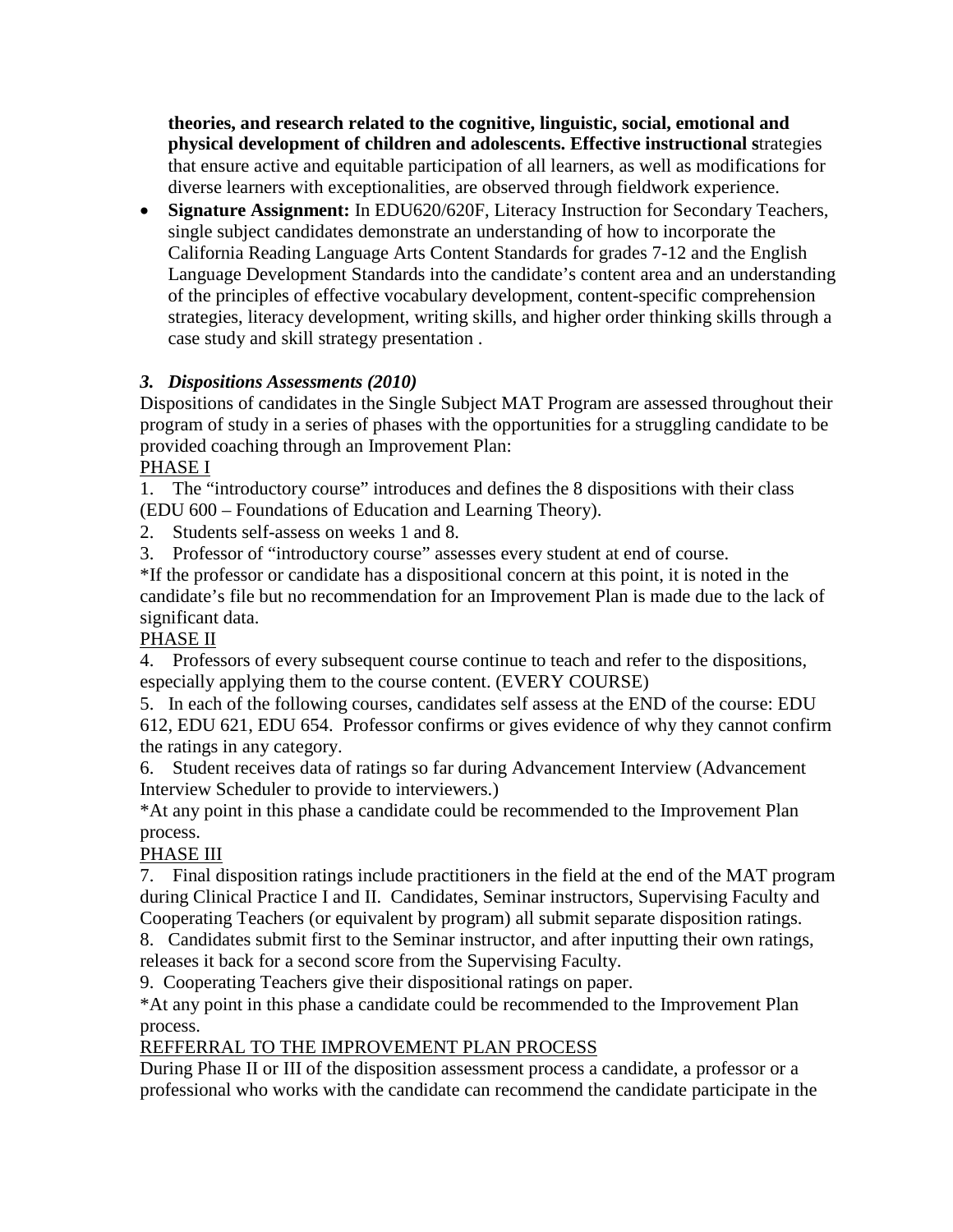**theories, and research related to the cognitive, linguistic, social, emotional and physical development of children and adolescents. Effective instructional s**trategies that ensure active and equitable participation of all learners, as well as modifications for diverse learners with exceptionalities, are observed through fieldwork experience.

• **Signature Assignment:** In EDU620/620F, Literacy Instruction for Secondary Teachers, single subject candidates demonstrate an understanding of how to incorporate the California Reading Language Arts Content Standards for grades 7-12 and the English Language Development Standards into the candidate's content area and an understanding of the principles of effective vocabulary development, content-specific comprehension strategies, literacy development, writing skills, and higher order thinking skills through a case study and skill strategy presentation .

## *3. Dispositions Assessments (2010)*

Dispositions of candidates in the Single Subject MAT Program are assessed throughout their program of study in a series of phases with the opportunities for a struggling candidate to be provided coaching through an Improvement Plan:

PHASE I

1. The "introductory course" introduces and defines the 8 dispositions with their class (EDU 600 – Foundations of Education and Learning Theory).

2. Students self-assess on weeks 1 and 8.

3. Professor of "introductory course" assesses every student at end of course.

\*If the professor or candidate has a dispositional concern at this point, it is noted in the candidate's file but no recommendation for an Improvement Plan is made due to the lack of significant data.

## PHASE II

4. Professors of every subsequent course continue to teach and refer to the dispositions, especially applying them to the course content. (EVERY COURSE)

5. In each of the following courses, candidates self assess at the END of the course: EDU 612, EDU 621, EDU 654. Professor confirms or gives evidence of why they cannot confirm the ratings in any category.

6. Student receives data of ratings so far during Advancement Interview (Advancement Interview Scheduler to provide to interviewers.)

\*At any point in this phase a candidate could be recommended to the Improvement Plan process.

# PHASE III

7. Final disposition ratings include practitioners in the field at the end of the MAT program during Clinical Practice I and II. Candidates, Seminar instructors, Supervising Faculty and Cooperating Teachers (or equivalent by program) all submit separate disposition ratings.

8. Candidates submit first to the Seminar instructor, and after inputting their own ratings, releases it back for a second score from the Supervising Faculty.

9. Cooperating Teachers give their dispositional ratings on paper.

\*At any point in this phase a candidate could be recommended to the Improvement Plan process.

# REFFERRAL TO THE IMPROVEMENT PLAN PROCESS

During Phase II or III of the disposition assessment process a candidate, a professor or a professional who works with the candidate can recommend the candidate participate in the